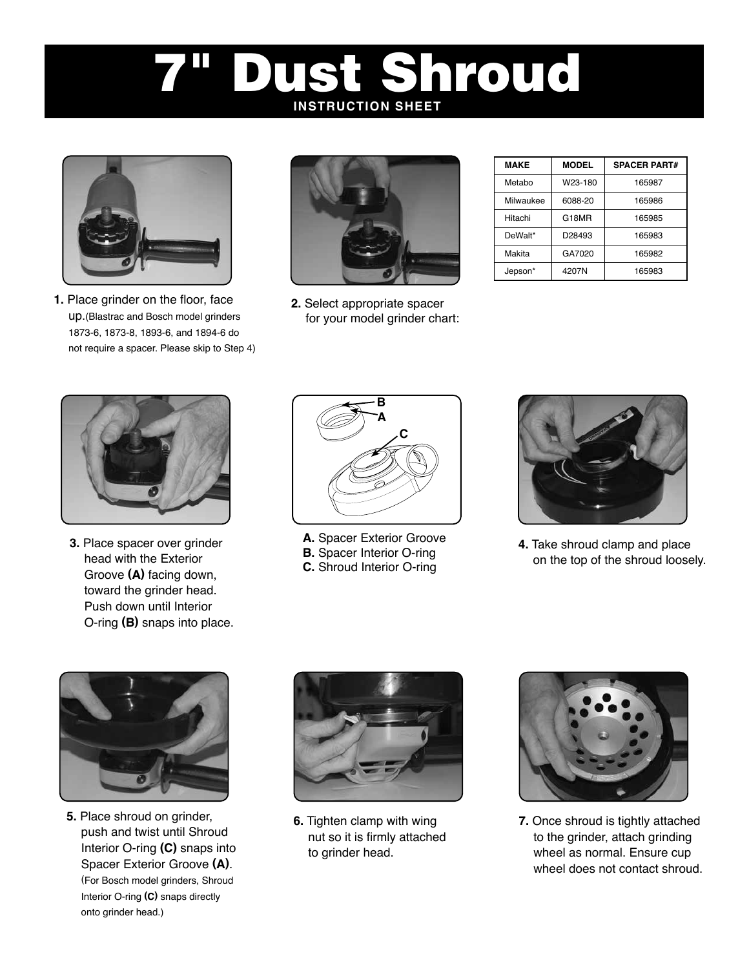# Dust Shroud **INSTRUCTION SHEET**



**1.** Place grinder on the floor, face up.(Blastrac and Bosch model grinders 1873-6, 1873-8, 1893-6, and 1894-6 do not require a spacer. Please skip to Step 4)



**2.** Select appropriate spacer for your model grinder chart:

| <b>MAKE</b> | <b>MODEL</b> | <b>SPACER PART#</b> |
|-------------|--------------|---------------------|
| Metabo      | W23-180      | 165987              |
| Milwaukee   | 6088-20      | 165986              |
| Hitachi     | G18MR        | 165985              |
| DeWalt*     | D28493       | 165983              |
| Makita      | GA7020       | 165982              |
| Jepson*     | 4207N        | 165983              |



**3.** Place spacer over grinder head with the Exterior Groove **(A)** facing down, toward the grinder head. Push down until Interior O-ring **(B)** snaps into place.



**A.** Spacer Exterior Groove **B.** Spacer Interior O-ring **C.** Shroud Interior O-ring



**4.** Take shroud clamp and place on the top of the shroud loosely.



**5.** Place shroud on grinder, push and twist until Shroud Interior O-ring **(C)** snaps into Spacer Exterior Groove **(A)**. (For Bosch model grinders, Shroud Interior O-ring **(C)** snaps directly onto grinder head.)



**6.** Tighten clamp with wing nut so it is firmly attached to grinder head.



**7.** Once shroud is tightly attached to the grinder, attach grinding wheel as normal. Ensure cup wheel does not contact shroud.